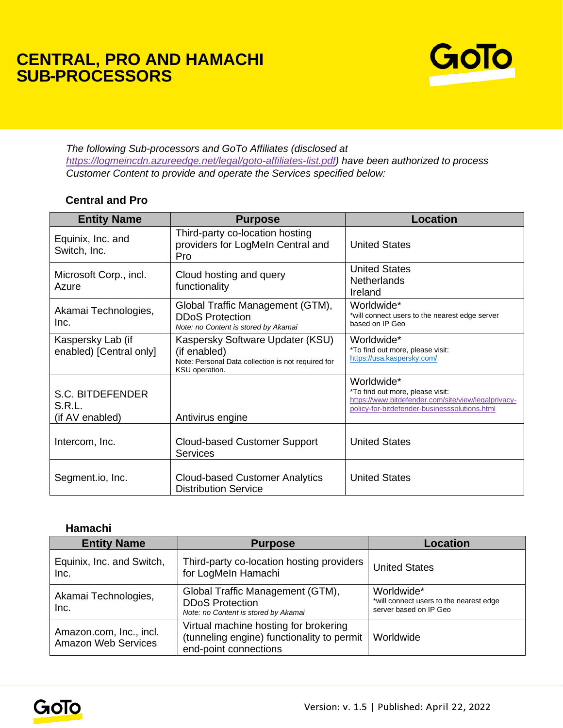## **CENTRAL, PRO AND HAMACHI SUB-PROCESSORS**



*The following Sub-processors and GoTo Affiliates (disclosed at [https://logmeincdn.azureedge.net/legal/goto-affiliates-list.pdf\)](https://logmeincdn.azureedge.net/legal/goto-affiliates-list.pdf) have been authorized to process Customer Content to provide and operate the Services specified below:* 

## **Central and Pro**

| <b>Entity Name</b>                            | <b>Purpose</b>                                                                                                           | <b>Location</b>                                                                                                                                        |
|-----------------------------------------------|--------------------------------------------------------------------------------------------------------------------------|--------------------------------------------------------------------------------------------------------------------------------------------------------|
| Equinix, Inc. and<br>Switch, Inc.             | Third-party co-location hosting<br>providers for LogMeIn Central and<br>Pro                                              | <b>United States</b>                                                                                                                                   |
| Microsoft Corp., incl.<br>Azure               | Cloud hosting and query<br>functionality                                                                                 | <b>United States</b><br><b>Netherlands</b><br>Ireland                                                                                                  |
| Akamai Technologies,<br>Inc.                  | Global Traffic Management (GTM),<br><b>DDoS Protection</b><br>Note: no Content is stored by Akamai                       | Worldwide*<br>*will connect users to the nearest edge server<br>based on IP Geo                                                                        |
| Kaspersky Lab (if<br>enabled) [Central only]  | Kaspersky Software Updater (KSU)<br>(if enabled)<br>Note: Personal Data collection is not required for<br>KSU operation. | Worldwide*<br>*To find out more, please visit:<br>https://usa.kaspersky.com/                                                                           |
| S.C. BITDEFENDER<br>S.R.L.<br>(if AV enabled) | Antivirus engine                                                                                                         | Worldwide*<br>*To find out more, please visit:<br>https://www.bitdefender.com/site/view/legalprivacy-<br>policy-for-bitdefender-businesssolutions.html |
| Intercom, Inc.                                | <b>Cloud-based Customer Support</b><br><b>Services</b>                                                                   | <b>United States</b>                                                                                                                                   |
| Segment.io, Inc.                              | <b>Cloud-based Customer Analytics</b><br><b>Distribution Service</b>                                                     | <b>United States</b>                                                                                                                                   |

## **Hamachi**

| <b>Entity Name</b>                                    | <b>Purpose</b>                                                                                               | Location                                                                        |
|-------------------------------------------------------|--------------------------------------------------------------------------------------------------------------|---------------------------------------------------------------------------------|
| Equinix, Inc. and Switch,<br>Inc.                     | Third-party co-location hosting providers<br>for LogMeIn Hamachi                                             | <b>United States</b>                                                            |
| Akamai Technologies,<br>Inc.                          | Global Traffic Management (GTM),<br><b>DDoS Protection</b><br>Note: no Content is stored by Akamai           | Worldwide*<br>*will connect users to the nearest edge<br>server based on IP Geo |
| Amazon.com, Inc., incl.<br><b>Amazon Web Services</b> | Virtual machine hosting for brokering<br>(tunneling engine) functionality to permit<br>end-point connections | Worldwide                                                                       |